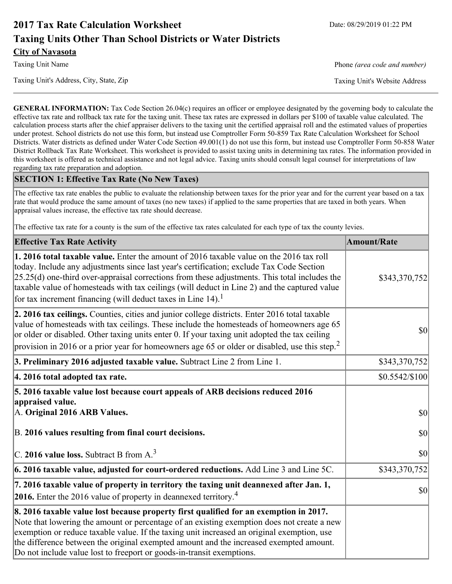# **2017 Tax Rate Calculation Worksheet** Date: 08/29/2019 01:22 PM **Taxing Units Other Than School Districts or Water Districts City of Navasota**

Taxing Unit Name **Phone** *(area code and number)* Phone *(area code and number)* 

**GENERAL INFORMATION:** Tax Code Section 26.04(c) requires an officer or employee designated by the governing body to calculate the effective tax rate and rollback tax rate for the taxing unit. These tax rates are expressed in dollars per \$100 of taxable value calculated. The calculation process starts after the chief appraiser delivers to the taxing unit the certified appraisal roll and the estimated values of properties under protest. School districts do not use this form, but instead use Comptroller Form 50-859 Tax Rate Calculation Worksheet for School Districts. Water districts as defined under Water Code Section 49.001(1) do not use this form, but instead use Comptroller Form 50-858 Water District Rollback Tax Rate Worksheet. This worksheet is provided to assist taxing units in determining tax rates. The information provided in this worksheet is offered as technical assistance and not legal advice. Taxing units should consult legal counsel for interpretations of law regarding tax rate preparation and adoption.

### **SECTION 1: Effective Tax Rate (No New Taxes)**

The effective tax rate enables the public to evaluate the relationship between taxes for the prior year and for the current year based on a tax rate that would produce the same amount of taxes (no new taxes) if applied to the same properties that are taxed in both years. When appraisal values increase, the effective tax rate should decrease.

The effective tax rate for a county is the sum of the effective tax rates calculated for each type of tax the county levies.

| <b>Effective Tax Rate Activity</b>                                                                                                                                                                                                                                                                                                                                                                                                                                      | <b>Amount/Rate</b> |
|-------------------------------------------------------------------------------------------------------------------------------------------------------------------------------------------------------------------------------------------------------------------------------------------------------------------------------------------------------------------------------------------------------------------------------------------------------------------------|--------------------|
| 1. 2016 total taxable value. Enter the amount of 2016 taxable value on the 2016 tax roll<br>today. Include any adjustments since last year's certification; exclude Tax Code Section<br>$[25.25(d)$ one-third over-appraisal corrections from these adjustments. This total includes the<br>taxable value of homesteads with tax ceilings (will deduct in Line 2) and the captured value<br>for tax increment financing (will deduct taxes in Line $14$ ). <sup>1</sup> | \$343,370,752      |
| 2. 2016 tax ceilings. Counties, cities and junior college districts. Enter 2016 total taxable<br>value of homesteads with tax ceilings. These include the homesteads of homeowners age 65<br>or older or disabled. Other taxing units enter 0. If your taxing unit adopted the tax ceiling<br>provision in 2016 or a prior year for homeowners age 65 or older or disabled, use this step. <sup>2</sup>                                                                 | 30                 |
| 3. Preliminary 2016 adjusted taxable value. Subtract Line 2 from Line 1.                                                                                                                                                                                                                                                                                                                                                                                                | \$343,370,752      |
| 4. 2016 total adopted tax rate.                                                                                                                                                                                                                                                                                                                                                                                                                                         | \$0.5542/\$100     |
| 5. 2016 taxable value lost because court appeals of ARB decisions reduced 2016<br>appraised value.<br>A. Original 2016 ARB Values.                                                                                                                                                                                                                                                                                                                                      | $ 10\rangle$       |
| B. 2016 values resulting from final court decisions.                                                                                                                                                                                                                                                                                                                                                                                                                    | 30                 |
| C. 2016 value loss. Subtract B from $A3$                                                                                                                                                                                                                                                                                                                                                                                                                                | 30                 |
| 6. 2016 taxable value, adjusted for court-ordered reductions. Add Line 3 and Line 5C.                                                                                                                                                                                                                                                                                                                                                                                   | \$343,370,752      |
| 7. 2016 taxable value of property in territory the taxing unit deannexed after Jan. 1,<br><b>2016.</b> Enter the 2016 value of property in deannexed territory. <sup>4</sup>                                                                                                                                                                                                                                                                                            | $ 10\rangle$       |
| 8. 2016 taxable value lost because property first qualified for an exemption in 2017.<br>Note that lowering the amount or percentage of an existing exemption does not create a new<br>exemption or reduce taxable value. If the taxing unit increased an original exemption, use<br>the difference between the original exempted amount and the increased exempted amount.<br>Do not include value lost to freeport or goods-in-transit exemptions.                    |                    |

Taxing Unit's Address, City, State, Zip Taxing Unit's Website Address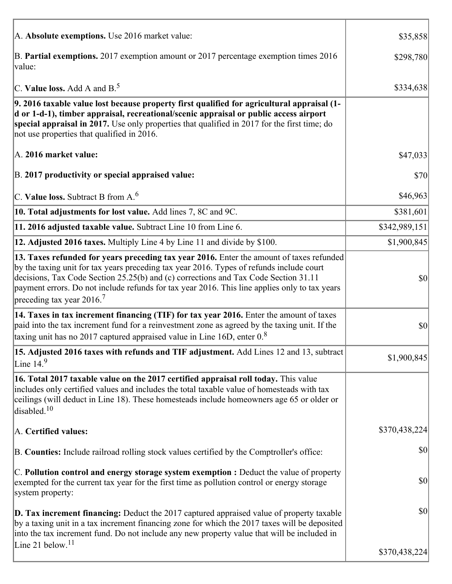| A. Absolute exemptions. Use 2016 market value:                                                                                                                                                                                                                                                                                                                                                                         | \$35,858      |
|------------------------------------------------------------------------------------------------------------------------------------------------------------------------------------------------------------------------------------------------------------------------------------------------------------------------------------------------------------------------------------------------------------------------|---------------|
| B. Partial exemptions. 2017 exemption amount or 2017 percentage exemption times 2016<br>value:                                                                                                                                                                                                                                                                                                                         | \$298,780     |
| C. Value loss. Add A and $B^5$ .                                                                                                                                                                                                                                                                                                                                                                                       | \$334,638     |
| 9. 2016 taxable value lost because property first qualified for agricultural appraisal (1-<br>d or 1-d-1), timber appraisal, recreational/scenic appraisal or public access airport<br>special appraisal in 2017. Use only properties that qualified in 2017 for the first time; do<br>not use properties that qualified in 2016.                                                                                      |               |
| A. 2016 market value:                                                                                                                                                                                                                                                                                                                                                                                                  | \$47,033      |
| B. 2017 productivity or special appraised value:                                                                                                                                                                                                                                                                                                                                                                       | \$70          |
| C. Value loss. Subtract B from $A6$                                                                                                                                                                                                                                                                                                                                                                                    | \$46,963      |
| 10. Total adjustments for lost value. Add lines 7, 8C and 9C.                                                                                                                                                                                                                                                                                                                                                          | \$381,601     |
| 11. 2016 adjusted taxable value. Subtract Line 10 from Line 6.                                                                                                                                                                                                                                                                                                                                                         | \$342,989,151 |
| 12. Adjusted 2016 taxes. Multiply Line 4 by Line 11 and divide by \$100.                                                                                                                                                                                                                                                                                                                                               | \$1,900,845   |
| 13. Taxes refunded for years preceding tax year 2016. Enter the amount of taxes refunded<br>by the taxing unit for tax years preceding tax year 2016. Types of refunds include court<br>decisions, Tax Code Section 25.25(b) and (c) corrections and Tax Code Section 31.11<br>payment errors. Do not include refunds for tax year 2016. This line applies only to tax years<br>preceding tax year $2016$ <sup>7</sup> | \$0           |
| 14. Taxes in tax increment financing (TIF) for tax year 2016. Enter the amount of taxes<br>paid into the tax increment fund for a reinvestment zone as agreed by the taxing unit. If the<br>taxing unit has no 2017 captured appraised value in Line 16D, enter $0.8$                                                                                                                                                  | $ 10\rangle$  |
| 15. Adjusted 2016 taxes with refunds and TIF adjustment. Add Lines 12 and 13, subtract<br>Line $149$                                                                                                                                                                                                                                                                                                                   | \$1,900,845   |
| 16. Total 2017 taxable value on the 2017 certified appraisal roll today. This value<br>includes only certified values and includes the total taxable value of homesteads with tax<br>ceilings (will deduct in Line 18). These homesteads include homeowners age 65 or older or<br>disabled. $10$                                                                                                                       |               |
| A. Certified values:                                                                                                                                                                                                                                                                                                                                                                                                   | \$370,438,224 |
| B. Counties: Include railroad rolling stock values certified by the Comptroller's office:                                                                                                                                                                                                                                                                                                                              | \$0           |
| $ C$ . Pollution control and energy storage system exemption : Deduct the value of property<br>exempted for the current tax year for the first time as pollution control or energy storage<br>system property:                                                                                                                                                                                                         | \$0           |
| <b>D. Tax increment financing:</b> Deduct the 2017 captured appraised value of property taxable<br>by a taxing unit in a tax increment financing zone for which the 2017 taxes will be deposited<br>into the tax increment fund. Do not include any new property value that will be included in                                                                                                                        | \$0           |
| Line 21 below. <sup>11</sup>                                                                                                                                                                                                                                                                                                                                                                                           | \$370,438,224 |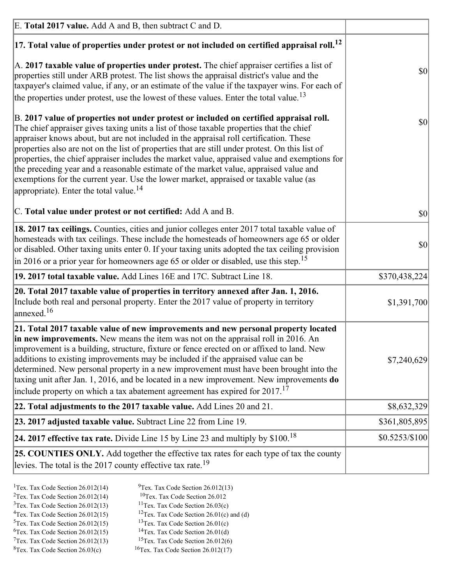| E. Total 2017 value. Add A and B, then subtract C and D.                                                                                                                                                                                                                                                                                                                                                                                                                                                                                                                                                                                                                                                                 |                |
|--------------------------------------------------------------------------------------------------------------------------------------------------------------------------------------------------------------------------------------------------------------------------------------------------------------------------------------------------------------------------------------------------------------------------------------------------------------------------------------------------------------------------------------------------------------------------------------------------------------------------------------------------------------------------------------------------------------------------|----------------|
| $ 17$ . Total value of properties under protest or not included on certified appraisal roll. <sup>12</sup>                                                                                                                                                                                                                                                                                                                                                                                                                                                                                                                                                                                                               |                |
| $\vert$ A. 2017 taxable value of properties under protest. The chief appraiser certifies a list of<br>properties still under ARB protest. The list shows the appraisal district's value and the<br>taxpayer's claimed value, if any, or an estimate of the value if the taxpayer wins. For each of<br>the properties under protest, use the lowest of these values. Enter the total value. <sup>13</sup>                                                                                                                                                                                                                                                                                                                 | $ 10\rangle$   |
| B. 2017 value of properties not under protest or included on certified appraisal roll.<br>The chief appraiser gives taxing units a list of those taxable properties that the chief<br>appraiser knows about, but are not included in the appraisal roll certification. These<br>properties also are not on the list of properties that are still under protest. On this list of<br>properties, the chief appraiser includes the market value, appraised value and exemptions for<br>the preceding year and a reasonable estimate of the market value, appraised value and<br>exemptions for the current year. Use the lower market, appraised or taxable value (as<br>appropriate). Enter the total value. <sup>14</sup> | $ 10\rangle$   |
| C. Total value under protest or not certified: Add A and B.                                                                                                                                                                                                                                                                                                                                                                                                                                                                                                                                                                                                                                                              | $ 10\rangle$   |
| 18. 2017 tax ceilings. Counties, cities and junior colleges enter 2017 total taxable value of<br>homesteads with tax ceilings. These include the homesteads of homeowners age 65 or older<br>or disabled. Other taxing units enter 0. If your taxing units adopted the tax ceiling provision<br>$\vert$ in 2016 or a prior year for homeowners age 65 or older or disabled, use this step. <sup>15</sup>                                                                                                                                                                                                                                                                                                                 | \$0            |
| 19. 2017 total taxable value. Add Lines 16E and 17C. Subtract Line 18.                                                                                                                                                                                                                                                                                                                                                                                                                                                                                                                                                                                                                                                   | \$370,438,224  |
| 20. Total 2017 taxable value of properties in territory annexed after Jan. 1, 2016.<br>Include both real and personal property. Enter the 2017 value of property in territory<br>$\vert$ annexed. <sup>16</sup>                                                                                                                                                                                                                                                                                                                                                                                                                                                                                                          | \$1,391,700    |
| 21. Total 2017 taxable value of new improvements and new personal property located<br>in new improvements. New means the item was not on the appraisal roll in 2016. An<br>improvement is a building, structure, fixture or fence erected on or affixed to land. New<br>additions to existing improvements may be included if the appraised value can be<br>determined. New personal property in a new improvement must have been brought into the<br>taxing unit after Jan. 1, 2016, and be located in a new improvement. New improvements do<br>include property on which a tax abatement agreement has expired for $2017$ . <sup>17</sup>                                                                             | \$7,240,629    |
| 22. Total adjustments to the 2017 taxable value. Add Lines 20 and 21.                                                                                                                                                                                                                                                                                                                                                                                                                                                                                                                                                                                                                                                    | \$8,632,329    |
| 23. 2017 adjusted taxable value. Subtract Line 22 from Line 19.                                                                                                                                                                                                                                                                                                                                                                                                                                                                                                                                                                                                                                                          | \$361,805,895  |
| 24. 2017 effective tax rate. Divide Line 15 by Line 23 and multiply by $$100$ . <sup>18</sup>                                                                                                                                                                                                                                                                                                                                                                                                                                                                                                                                                                                                                            | \$0.5253/\$100 |
| <b>25. COUNTIES ONLY.</b> Add together the effective tax rates for each type of tax the county<br>levies. The total is the 2017 county effective tax rate. <sup>19</sup>                                                                                                                                                                                                                                                                                                                                                                                                                                                                                                                                                 |                |

- <sup>2</sup>Tex. Tax Code Section 26.012(14)
- <sup>1</sup>Tex. Tax Code Section 26.012(14) <sup>9</sup>Tex. Tax Code Section 26.012(13) <sup>9</sup>Tex. Tax Code Section 26.012
	-
- <sup>3</sup>Tex. Tax Code Section 26.012(13) <sup>11</sup>Tex. Tax Code Section 26.03(c) <sup>4</sup>Tex. Tax Code Section 26.01(c) and <sup>12</sup>Tex. Tax Code Section 26.01(c) and <sup>12</sup>Tex. Tax Code Section 26.01(c) and <sup>12</sup>Tex. Tax Code Section 26.01(c)
	- <sup>12</sup>Tex. Tax Code Section 26.01(c) and (d)
- 
- <sup>5</sup>Tex. Tax Code Section 26.012(15) <sup>13</sup>Tex. Tax Code Section 26.01(c) <sup>6</sup>Tex. Tax Code Section 26.01(d)
- <sup>6</sup>Tex. Tax Code Section 26.012(15) <sup>14</sup>Tex. Tax Code Section 26.01(d)<sup>7</sup>Tex. Tax Code Section 26.012(6)  $7$ Tex. Tax Code Section 26.012(13)
- 
- 
- ${}^{8}$ Tex. Tax Code Section 26.03(c)  ${}^{16}$ Tex. Tax Code Section 26.012(17)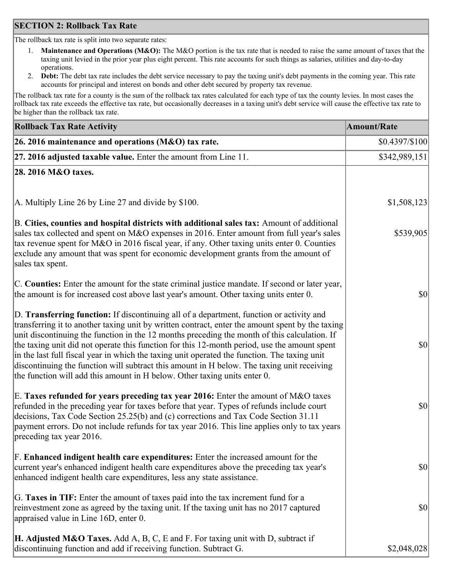### **SECTION 2: Rollback Tax Rate**

The rollback tax rate is split into two separate rates:

- 1. **Maintenance and Operations (M&O):** The M&O portion is the tax rate that is needed to raise the same amount of taxes that the taxing unit levied in the prior year plus eight percent. This rate accounts for such things as salaries, utilities and day-to-day operations.
- 2. **Debt:** The debt tax rate includes the debt service necessary to pay the taxing unit's debt payments in the coming year. This rate accounts for principal and interest on bonds and other debt secured by property tax revenue.

The rollback tax rate for a county is the sum of the rollback tax rates calculated for each type of tax the county levies. In most cases the rollback tax rate exceeds the effective tax rate, but occasionally decreases in a taxing unit's debt service will cause the effective tax rate to be higher than the rollback tax rate.

| <b>Rollback Tax Rate Activity</b>                                                                                                                                                                                                                                                                                                                                                                                                                                                                                                                                                                                                                                       | <b>Amount/Rate</b> |
|-------------------------------------------------------------------------------------------------------------------------------------------------------------------------------------------------------------------------------------------------------------------------------------------------------------------------------------------------------------------------------------------------------------------------------------------------------------------------------------------------------------------------------------------------------------------------------------------------------------------------------------------------------------------------|--------------------|
| 26. 2016 maintenance and operations (M&O) tax rate.                                                                                                                                                                                                                                                                                                                                                                                                                                                                                                                                                                                                                     | \$0.4397/\$100     |
| $ 27.2016$ adjusted taxable value. Enter the amount from Line 11.                                                                                                                                                                                                                                                                                                                                                                                                                                                                                                                                                                                                       | \$342,989,151      |
| 28. 2016 M&O taxes.                                                                                                                                                                                                                                                                                                                                                                                                                                                                                                                                                                                                                                                     |                    |
| A. Multiply Line 26 by Line 27 and divide by \$100.                                                                                                                                                                                                                                                                                                                                                                                                                                                                                                                                                                                                                     | \$1,508,123        |
| B. Cities, counties and hospital districts with additional sales tax: Amount of additional<br>sales tax collected and spent on M&O expenses in 2016. Enter amount from full year's sales<br>tax revenue spent for M&O in 2016 fiscal year, if any. Other taxing units enter 0. Counties<br>exclude any amount that was spent for economic development grants from the amount of<br>sales tax spent.                                                                                                                                                                                                                                                                     | \$539,905          |
| C. Counties: Enter the amount for the state criminal justice mandate. If second or later year,<br>the amount is for increased cost above last year's amount. Other taxing units enter 0.                                                                                                                                                                                                                                                                                                                                                                                                                                                                                | 30                 |
| D. Transferring function: If discontinuing all of a department, function or activity and<br>transferring it to another taxing unit by written contract, enter the amount spent by the taxing<br>unit discontinuing the function in the 12 months preceding the month of this calculation. If<br>the taxing unit did not operate this function for this 12-month period, use the amount spent<br>in the last full fiscal year in which the taxing unit operated the function. The taxing unit<br>discontinuing the function will subtract this amount in H below. The taxing unit receiving<br>the function will add this amount in H below. Other taxing units enter 0. | \$0                |
| E. Taxes refunded for years preceding tax year 2016: Enter the amount of M&O taxes<br>refunded in the preceding year for taxes before that year. Types of refunds include court<br>decisions, Tax Code Section 25.25(b) and (c) corrections and Tax Code Section 31.11<br>payment errors. Do not include refunds for tax year 2016. This line applies only to tax years<br>preceding tax year 2016.                                                                                                                                                                                                                                                                     | \$0                |
| F. Enhanced indigent health care expenditures: Enter the increased amount for the<br>current year's enhanced indigent health care expenditures above the preceding tax year's<br>enhanced indigent health care expenditures, less any state assistance.                                                                                                                                                                                                                                                                                                                                                                                                                 | $ 10\rangle$       |
| G. Taxes in TIF: Enter the amount of taxes paid into the tax increment fund for a<br>reinvestment zone as agreed by the taxing unit. If the taxing unit has no 2017 captured<br>appraised value in Line 16D, enter 0.                                                                                                                                                                                                                                                                                                                                                                                                                                                   | $ 10\rangle$       |
| <b>H. Adjusted M&amp;O Taxes.</b> Add A, B, C, E and F. For taxing unit with D, subtract if<br>discontinuing function and add if receiving function. Subtract G.                                                                                                                                                                                                                                                                                                                                                                                                                                                                                                        | \$2,048,028        |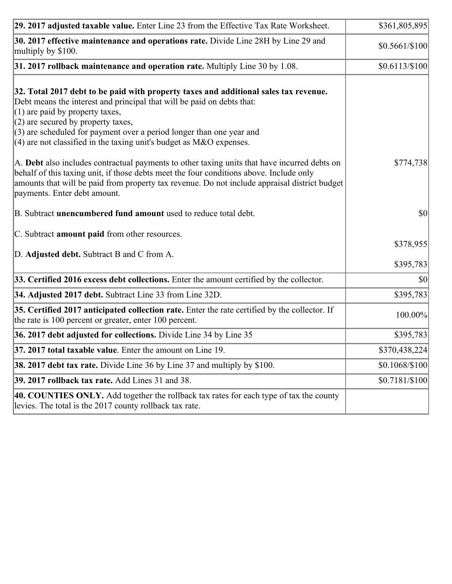| 29. 2017 adjusted taxable value. Enter Line 23 from the Effective Tax Rate Worksheet.                                                                                                                                                                                                                                                                                                          | \$361,805,895   |
|------------------------------------------------------------------------------------------------------------------------------------------------------------------------------------------------------------------------------------------------------------------------------------------------------------------------------------------------------------------------------------------------|-----------------|
| 30. 2017 effective maintenance and operations rate. Divide Line 28H by Line 29 and<br>multiply by \$100.                                                                                                                                                                                                                                                                                       | \$0.5661/\$100  |
| $31.2017$ rollback maintenance and operation rate. Multiply Line 30 by 1.08.                                                                                                                                                                                                                                                                                                                   | \$0.6113/\$100] |
| 32. Total 2017 debt to be paid with property taxes and additional sales tax revenue.<br>Debt means the interest and principal that will be paid on debts that:<br>$(1)$ are paid by property taxes,<br>$(2)$ are secured by property taxes,<br>$(3)$ are scheduled for payment over a period longer than one year and<br>$(4)$ are not classified in the taxing unit's budget as M&O expenses. |                 |
| A. Debt also includes contractual payments to other taxing units that have incurred debts on<br>behalf of this taxing unit, if those debts meet the four conditions above. Include only<br>amounts that will be paid from property tax revenue. Do not include appraisal district budget<br>payments. Enter debt amount.                                                                       | \$774,738       |
| B. Subtract <b>unencumbered fund amount</b> used to reduce total debt.                                                                                                                                                                                                                                                                                                                         | \$0             |
| C. Subtract amount paid from other resources.<br>D. Adjusted debt. Subtract B and C from A.                                                                                                                                                                                                                                                                                                    | \$378,955       |
|                                                                                                                                                                                                                                                                                                                                                                                                | \$395,783       |
| 33. Certified 2016 excess debt collections. Enter the amount certified by the collector.                                                                                                                                                                                                                                                                                                       | \$0             |
| 34. Adjusted 2017 debt. Subtract Line 33 from Line 32D.                                                                                                                                                                                                                                                                                                                                        | \$395,783       |
| 35. Certified 2017 anticipated collection rate. Enter the rate certified by the collector. If<br>the rate is 100 percent or greater, enter 100 percent.                                                                                                                                                                                                                                        | 100.00%         |
| 36. 2017 debt adjusted for collections. Divide Line 34 by Line 35                                                                                                                                                                                                                                                                                                                              | \$395,783       |
| 37. 2017 total taxable value. Enter the amount on Line 19.                                                                                                                                                                                                                                                                                                                                     | \$370,438,224   |
| <b>38. 2017 debt tax rate.</b> Divide Line 36 by Line 37 and multiply by \$100.                                                                                                                                                                                                                                                                                                                | \$0.1068/\$100  |
| 39. 2017 rollback tax rate. Add Lines 31 and 38.                                                                                                                                                                                                                                                                                                                                               | $$0.7181/\$100$ |
| 40. COUNTIES ONLY. Add together the rollback tax rates for each type of tax the county<br>levies. The total is the 2017 county rollback tax rate.                                                                                                                                                                                                                                              |                 |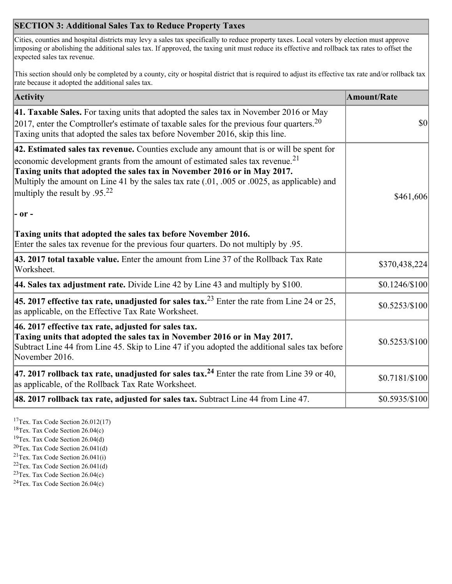## **SECTION 3: Additional Sales Tax to Reduce Property Taxes**

Cities, counties and hospital districts may levy a sales tax specifically to reduce property taxes. Local voters by election must approve imposing or abolishing the additional sales tax. If approved, the taxing unit must reduce its effective and rollback tax rates to offset the expected sales tax revenue.

This section should only be completed by a county, city or hospital district that is required to adjust its effective tax rate and/or rollback tax rate because it adopted the additional sales tax.

| <b>Activity</b>                                                                                                                                                                                                                                                                                                                                                                                                 | <b>Amount/Rate</b> |
|-----------------------------------------------------------------------------------------------------------------------------------------------------------------------------------------------------------------------------------------------------------------------------------------------------------------------------------------------------------------------------------------------------------------|--------------------|
| 41. Taxable Sales. For taxing units that adopted the sales tax in November 2016 or May<br>[2017, enter the Comptroller's estimate of taxable sales for the previous four quarters. <sup>20</sup><br>Taxing units that adopted the sales tax before November 2016, skip this line.                                                                                                                               | $\vert$ so $\vert$ |
| 42. Estimated sales tax revenue. Counties exclude any amount that is or will be spent for<br>economic development grants from the amount of estimated sales tax revenue. <sup>21</sup><br>Taxing units that adopted the sales tax in November 2016 or in May 2017.<br>Multiply the amount on Line 41 by the sales tax rate (.01, .005 or .0025, as applicable) and<br>multiply the result by .95. <sup>22</sup> | \$461,606          |
| $ -$ or $-$                                                                                                                                                                                                                                                                                                                                                                                                     |                    |
| Taxing units that adopted the sales tax before November 2016.<br>Enter the sales tax revenue for the previous four quarters. Do not multiply by .95.                                                                                                                                                                                                                                                            |                    |
| 43. 2017 total taxable value. Enter the amount from Line 37 of the Rollback Tax Rate<br>Worksheet.                                                                                                                                                                                                                                                                                                              | \$370,438,224      |
| 44. Sales tax adjustment rate. Divide Line 42 by Line 43 and multiply by $$100$ .                                                                                                                                                                                                                                                                                                                               | \$0.1246/\$100     |
| 45. 2017 effective tax rate, unadjusted for sales tax. <sup>23</sup> Enter the rate from Line 24 or 25,<br>as applicable, on the Effective Tax Rate Worksheet.                                                                                                                                                                                                                                                  | $$0.5253/\$100$    |
| 46. 2017 effective tax rate, adjusted for sales tax.<br>Taxing units that adopted the sales tax in November 2016 or in May 2017.<br>Subtract Line 44 from Line 45. Skip to Line 47 if you adopted the additional sales tax before<br>November 2016.                                                                                                                                                             | \$0.5253/\$100     |
| 47. 2017 rollback tax rate, unadjusted for sales tax. <sup>24</sup> Enter the rate from Line 39 or 40,<br>as applicable, of the Rollback Tax Rate Worksheet.                                                                                                                                                                                                                                                    | \$0.7181/\$100     |
| $ 48.2017$ rollback tax rate, adjusted for sales tax. Subtract Line 44 from Line 47.                                                                                                                                                                                                                                                                                                                            | \$0.5935/\$100     |

<sup>17</sup>Tex. Tax Code Section 26.012(17)

<sup>18</sup>Tex. Tax Code Section 26.04(c)

<sup>19</sup>Tex. Tax Code Section 26.04(d)

<sup>20</sup>Tex. Tax Code Section 26.041(d)

- $21$ Tex. Tax Code Section 26.041(i)
- <sup>22</sup>Tex. Tax Code Section 26.041(d)
- <sup>23</sup>Tex. Tax Code Section  $26.04(c)$

<sup>24</sup>Tex. Tax Code Section  $26.04(c)$